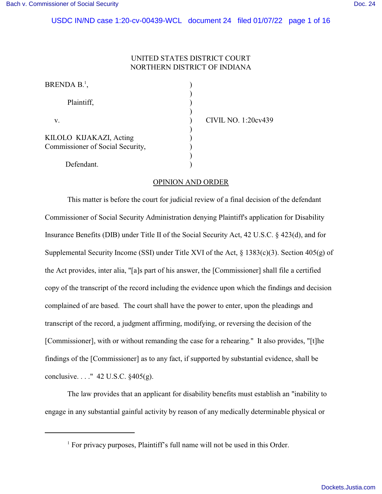# UNITED STATES DISTRICT COURT NORTHERN DISTRICT OF INDIANA

| BRENDA $B^1$ ,                   |  |
|----------------------------------|--|
|                                  |  |
| Plaintiff,                       |  |
|                                  |  |
| V.                               |  |
|                                  |  |
| KILOLO KIJAKAZI, Acting          |  |
| Commissioner of Social Security, |  |
|                                  |  |
| Defendant.                       |  |

IVIL NO. 1:20cv439

## OPINION AND ORDER

This matter is before the court for judicial review of a final decision of the defendant Commissioner of Social Security Administration denying Plaintiff's application for Disability Insurance Benefits (DIB) under Title II of the Social Security Act, 42 U.S.C. § 423(d), and for Supplemental Security Income (SSI) under Title XVI of the Act, § 1383(c)(3). Section 405(g) of the Act provides, inter alia, "[a]s part of his answer, the [Commissioner] shall file a certified copy of the transcript of the record including the evidence upon which the findings and decision complained of are based. The court shall have the power to enter, upon the pleadings and transcript of the record, a judgment affirming, modifying, or reversing the decision of the [Commissioner], with or without remanding the case for a rehearing." It also provides, "[t]he findings of the [Commissioner] as to any fact, if supported by substantial evidence, shall be conclusive. . . ." 42 U.S.C. §405(g).

The law provides that an applicant for disability benefits must establish an "inability to engage in any substantial gainful activity by reason of any medically determinable physical or

<sup>&</sup>lt;sup>1</sup> For privacy purposes, Plaintiff's full name will not be used in this Order.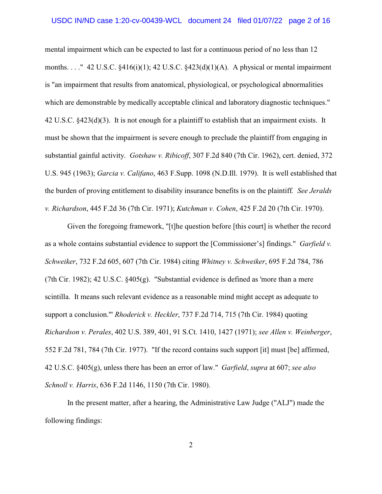mental impairment which can be expected to last for a continuous period of no less than 12 months. . . . "42 U.S.C.  $\S416(i)(1)$ ; 42 U.S.C.  $\S423(d)(1)(A)$ . A physical or mental impairment is "an impairment that results from anatomical, physiological, or psychological abnormalities which are demonstrable by medically acceptable clinical and laboratory diagnostic techniques." 42 U.S.C. §423(d)(3). It is not enough for a plaintiff to establish that an impairment exists. It must be shown that the impairment is severe enough to preclude the plaintiff from engaging in substantial gainful activity. *Gotshaw v. Ribicoff*, 307 F.2d 840 (7th Cir. 1962), cert. denied, 372 U.S. 945 (1963); *Garcia v. Califano*, 463 F.Supp. 1098 (N.D.Ill. 1979). It is well established that the burden of proving entitlement to disability insurance benefits is on the plaintiff*. See Jeralds v. Richardson*, 445 F.2d 36 (7th Cir. 1971); *Kutchman v. Cohen*, 425 F.2d 20 (7th Cir. 1970).

Given the foregoing framework, "[t]he question before [this court] is whether the record as a whole contains substantial evidence to support the [Commissioner's] findings." *Garfield v. Schweiker*, 732 F.2d 605, 607 (7th Cir. 1984) citing *Whitney v. Schweiker*, 695 F.2d 784, 786 (7th Cir. 1982); 42 U.S.C. §405(g). "Substantial evidence is defined as 'more than a mere scintilla. It means such relevant evidence as a reasonable mind might accept as adequate to support a conclusion.'" *Rhoderick v. Heckler*, 737 F.2d 714, 715 (7th Cir. 1984) quoting *Richardson v. Perales*, 402 U.S. 389, 401, 91 S.Ct. 1410, 1427 (1971); *see Allen v. Weinberger*, 552 F.2d 781, 784 (7th Cir. 1977). "If the record contains such support [it] must [be] affirmed, 42 U.S.C. §405(g), unless there has been an error of law." *Garfield*, *supra* at 607; *see also Schnoll v. Harris*, 636 F.2d 1146, 1150 (7th Cir. 1980).

In the present matter, after a hearing, the Administrative Law Judge ("ALJ") made the following findings: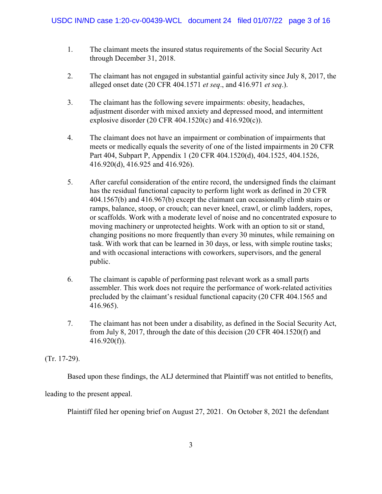- 1. The claimant meets the insured status requirements of the Social Security Act through December 31, 2018.
- 2. The claimant has not engaged in substantial gainful activity since July 8, 2017, the alleged onset date (20 CFR 404.1571 *et seq*., and 416.971 *et seq*.).
- 3. The claimant has the following severe impairments: obesity, headaches, adjustment disorder with mixed anxiety and depressed mood, and intermittent explosive disorder (20 CFR 404.1520(c) and  $416.920(c)$ ).
- 4. The claimant does not have an impairment or combination of impairments that meets or medically equals the severity of one of the listed impairments in 20 CFR Part 404, Subpart P, Appendix 1 (20 CFR 404.1520(d), 404.1525, 404.1526, 416.920(d), 416.925 and 416.926).
- 5. After careful consideration of the entire record, the undersigned finds the claimant has the residual functional capacity to perform light work as defined in 20 CFR 404.1567(b) and 416.967(b) except the claimant can occasionally climb stairs or ramps, balance, stoop, or crouch; can never kneel, crawl, or climb ladders, ropes, or scaffolds. Work with a moderate level of noise and no concentrated exposure to moving machinery or unprotected heights. Work with an option to sit or stand, changing positions no more frequently than every 30 minutes, while remaining on task. With work that can be learned in 30 days, or less, with simple routine tasks; and with occasional interactions with coworkers, supervisors, and the general public.
- 6. The claimant is capable of performing past relevant work as a small parts assembler. This work does not require the performance of work-related activities precluded by the claimant's residual functional capacity (20 CFR 404.1565 and 416.965).
- 7. The claimant has not been under a disability, as defined in the Social Security Act, from July 8, 2017, through the date of this decision (20 CFR 404.1520(f) and  $416.920(f)$ ).

(Tr. 17-29).

Based upon these findings, the ALJ determined that Plaintiff was not entitled to benefits,

leading to the present appeal.

Plaintiff filed her opening brief on August 27, 2021. On October 8, 2021 the defendant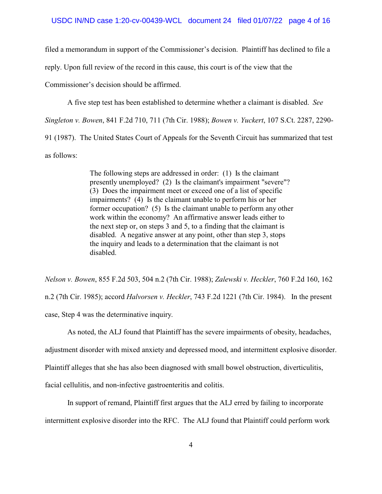filed a memorandum in support of the Commissioner's decision. Plaintiff has declined to file a

reply. Upon full review of the record in this cause, this court is of the view that the

Commissioner's decision should be affirmed.

A five step test has been established to determine whether a claimant is disabled. *See*

*Singleton v. Bowen*, 841 F.2d 710, 711 (7th Cir. 1988); *Bowen v. Yuckert*, 107 S.Ct. 2287, 2290-

91 (1987). The United States Court of Appeals for the Seventh Circuit has summarized that test

as follows:

The following steps are addressed in order: (1) Is the claimant presently unemployed? (2) Is the claimant's impairment "severe"? (3) Does the impairment meet or exceed one of a list of specific impairments? (4) Is the claimant unable to perform his or her former occupation? (5) Is the claimant unable to perform any other work within the economy? An affirmative answer leads either to the next step or, on steps 3 and 5, to a finding that the claimant is disabled. A negative answer at any point, other than step 3, stops the inquiry and leads to a determination that the claimant is not disabled.

*Nelson v. Bowen*, 855 F.2d 503, 504 n.2 (7th Cir. 1988); *Zalewski v. Heckler*, 760 F.2d 160, 162 n.2 (7th Cir. 1985); accord *Halvorsen v. Heckler*, 743 F.2d 1221 (7th Cir. 1984). In the present case, Step 4 was the determinative inquiry.

As noted, the ALJ found that Plaintiff has the severe impairments of obesity, headaches,

adjustment disorder with mixed anxiety and depressed mood, and intermittent explosive disorder.

Plaintiff alleges that she has also been diagnosed with small bowel obstruction, diverticulitis,

facial cellulitis, and non-infective gastroenteritis and colitis.

In support of remand, Plaintiff first argues that the ALJ erred by failing to incorporate

intermittent explosive disorder into the RFC. The ALJ found that Plaintiff could perform work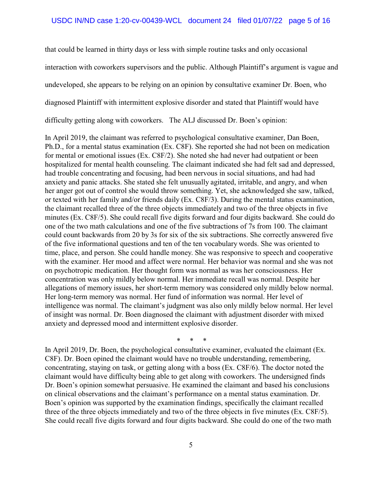that could be learned in thirty days or less with simple routine tasks and only occasional interaction with coworkers supervisors and the public. Although Plaintiff's argument is vague and undeveloped, she appears to be relying on an opinion by consultative examiner Dr. Boen, who diagnosed Plaintiff with intermittent explosive disorder and stated that Plaintiff would have difficulty getting along with coworkers. The ALJ discussed Dr. Boen's opinion:

In April 2019, the claimant was referred to psychological consultative examiner, Dan Boen, Ph.D., for a mental status examination (Ex. C8F). She reported she had not been on medication for mental or emotional issues (Ex. C8F/2). She noted she had never had outpatient or been hospitalized for mental health counseling. The claimant indicated she had felt sad and depressed, had trouble concentrating and focusing, had been nervous in social situations, and had had anxiety and panic attacks. She stated she felt unusually agitated, irritable, and angry, and when her anger got out of control she would throw something. Yet, she acknowledged she saw, talked, or texted with her family and/or friends daily (Ex. C8F/3). During the mental status examination, the claimant recalled three of the three objects immediately and two of the three objects in five minutes (Ex. C8F/5). She could recall five digits forward and four digits backward. She could do one of the two math calculations and one of the five subtractions of 7s from 100. The claimant could count backwards from 20 by 3s for six of the six subtractions. She correctly answered five of the five informational questions and ten of the ten vocabulary words. She was oriented to time, place, and person. She could handle money. She was responsive to speech and cooperative with the examiner. Her mood and affect were normal. Her behavior was normal and she was not on psychotropic medication. Her thought form was normal as was her consciousness. Her concentration was only mildly below normal. Her immediate recall was normal. Despite her allegations of memory issues, her short-term memory was considered only mildly below normal. Her long-term memory was normal. Her fund of information was normal. Her level of intelligence was normal. The claimant's judgment was also only mildly below normal. Her level of insight was normal. Dr. Boen diagnosed the claimant with adjustment disorder with mixed anxiety and depressed mood and intermittent explosive disorder.

\* \* \*

In April 2019, Dr. Boen, the psychological consultative examiner, evaluated the claimant (Ex. C8F). Dr. Boen opined the claimant would have no trouble understanding, remembering, concentrating, staying on task, or getting along with a boss (Ex. C8F/6). The doctor noted the claimant would have difficulty being able to get along with coworkers. The undersigned finds Dr. Boen's opinion somewhat persuasive. He examined the claimant and based his conclusions on clinical observations and the claimant's performance on a mental status examination. Dr. Boen's opinion was supported by the examination findings, specifically the claimant recalled three of the three objects immediately and two of the three objects in five minutes (Ex. C8F/5). She could recall five digits forward and four digits backward. She could do one of the two math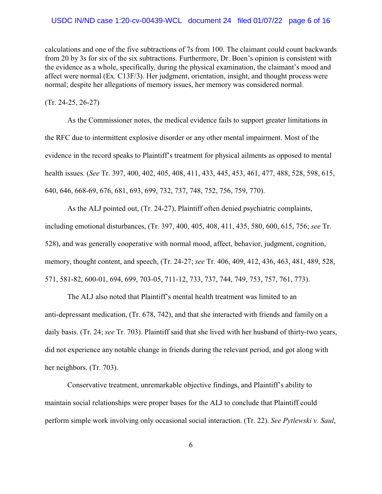calculations and one of the five subtractions of 7s from 100. The claimant could count backwards from 20 by 3s for six of the six subtractions. Furthermore, Dr. Boen's opinion is consistent with the evidence as a whole, specifically, during the physical examination, the claimant's mood and affect were normal (Ex. C13F/3). Her judgment, orientation, insight, and thought process were normal; despite her allegations of memory issues, her memory was considered normal.

#### (Tr. 24-25, 26-27)

As the Commissioner notes, the medical evidence fails to support greater limitations in the RFC due to intermittent explosive disorder or any other mental impairment. Most of the evidence in the record speaks to Plaintiff's treatment for physical ailments as opposed to mental health issues. (*See* Tr. 397, 400, 402, 405, 408, 411, 433, 445, 453, 461, 477, 488, 528, 598, 615, 640, 646, 668-69, 676, 681, 693, 699, 732, 737, 748, 752, 756, 759, 770).

As the ALJ pointed out, (Tr. 24-27), Plaintiff often denied psychiatric complaints, including emotional disturbances, (Tr. 397, 400, 405, 408, 411, 435, 580, 600, 615, 756; *see* Tr. 528), and was generally cooperative with normal mood, affect, behavior, judgment, cognition, memory, thought content, and speech, (Tr. 24-27; *see* Tr. 406, 409, 412, 436, 463, 481, 489, 528, 571, 581-82, 600-01, 694, 699, 703-05, 711-12, 733, 737, 744, 749, 753, 757, 761, 773).

The ALJ also noted that Plaintiff's mental health treatment was limited to an anti-depressant medication, (Tr. 678, 742), and that she interacted with friends and family on a daily basis. (Tr. 24; *see* Tr. 703). Plaintiff said that she lived with her husband of thirty-two years, did not experience any notable change in friends during the relevant period, and got along with her neighbors. (Tr. 703).

Conservative treatment, unremarkable objective findings, and Plaintiff's ability to maintain social relationships were proper bases for the ALJ to conclude that Plaintiff could perform simple work involving only occasional social interaction. (Tr. 22). *See Pytlewski v. Saul*,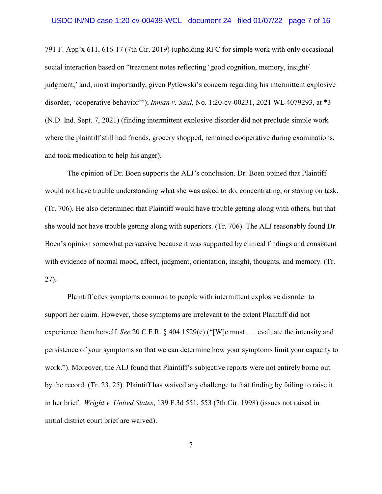791 F. App'x 611, 616-17 (7th Cir. 2019) (upholding RFC for simple work with only occasional social interaction based on "treatment notes reflecting 'good cognition, memory, insight/ judgment,' and, most importantly, given Pytlewski's concern regarding his intermittent explosive disorder, 'cooperative behavior'"); *Inman v. Saul*, No. 1:20-cv-00231, 2021 WL 4079293, at \*3 (N.D. Ind. Sept. 7, 2021) (finding intermittent explosive disorder did not preclude simple work where the plaintiff still had friends, grocery shopped, remained cooperative during examinations, and took medication to help his anger).

The opinion of Dr. Boen supports the ALJ's conclusion. Dr. Boen opined that Plaintiff would not have trouble understanding what she was asked to do, concentrating, or staying on task. (Tr. 706). He also determined that Plaintiff would have trouble getting along with others, but that she would not have trouble getting along with superiors. (Tr. 706). The ALJ reasonably found Dr. Boen's opinion somewhat persuasive because it was supported by clinical findings and consistent with evidence of normal mood, affect, judgment, orientation, insight, thoughts, and memory. (Tr. 27).

Plaintiff cites symptoms common to people with intermittent explosive disorder to support her claim. However, those symptoms are irrelevant to the extent Plaintiff did not experience them herself. *See* 20 C.F.R. § 404.1529(c) ("[W]e must . . . evaluate the intensity and persistence of your symptoms so that we can determine how your symptoms limit your capacity to work."). Moreover, the ALJ found that Plaintiff's subjective reports were not entirely borne out by the record. (Tr. 23, 25). Plaintiff has waived any challenge to that finding by failing to raise it in her brief. *Wright v. United States*, 139 F.3d 551, 553 (7th Cir. 1998) (issues not raised in initial district court brief are waived).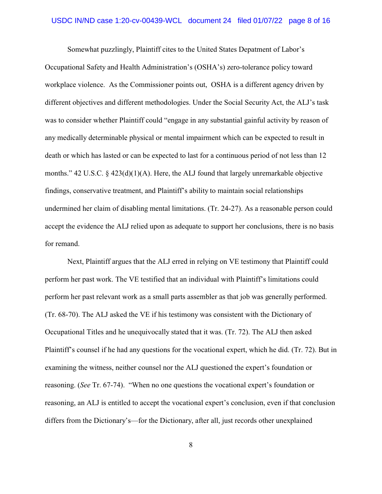Somewhat puzzlingly, Plaintiff cites to the United States Depatment of Labor's Occupational Safety and Health Administration's (OSHA's) zero-tolerance policy toward workplace violence. As the Commissioner points out, OSHA is a different agency driven by different objectives and different methodologies. Under the Social Security Act, the ALJ's task was to consider whether Plaintiff could "engage in any substantial gainful activity by reason of any medically determinable physical or mental impairment which can be expected to result in death or which has lasted or can be expected to last for a continuous period of not less than 12 months." 42 U.S.C. § 423(d)(1)(A). Here, the ALJ found that largely unremarkable objective findings, conservative treatment, and Plaintiff's ability to maintain social relationships undermined her claim of disabling mental limitations. (Tr. 24-27). As a reasonable person could accept the evidence the ALJ relied upon as adequate to support her conclusions, there is no basis for remand.

Next, Plaintiff argues that the ALJ erred in relying on VE testimony that Plaintiff could perform her past work. The VE testified that an individual with Plaintiff's limitations could perform her past relevant work as a small parts assembler as that job was generally performed. (Tr. 68-70). The ALJ asked the VE if his testimony was consistent with the Dictionary of Occupational Titles and he unequivocally stated that it was. (Tr. 72). The ALJ then asked Plaintiff's counsel if he had any questions for the vocational expert, which he did. (Tr. 72). But in examining the witness, neither counsel nor the ALJ questioned the expert's foundation or reasoning. (*See* Tr. 67-74). "When no one questions the vocational expert's foundation or reasoning, an ALJ is entitled to accept the vocational expert's conclusion, even if that conclusion differs from the Dictionary's—for the Dictionary, after all, just records other unexplained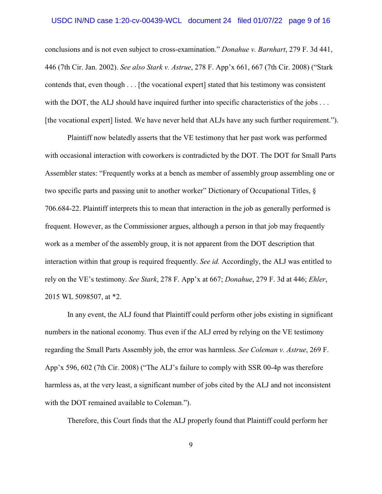#### USDC IN/ND case 1:20-cv-00439-WCL document 24 filed 01/07/22 page 9 of 16

conclusions and is not even subject to cross-examination." *Donahue v. Barnhart*, 279 F. 3d 441, 446 (7th Cir. Jan. 2002). *See also Stark v. Astrue*, 278 F. App'x 661, 667 (7th Cir. 2008) ("Stark contends that, even though . . . [the vocational expert] stated that his testimony was consistent with the DOT, the ALJ should have inquired further into specific characteristics of the jobs . . . [the vocational expert] listed. We have never held that ALJs have any such further requirement.").

Plaintiff now belatedly asserts that the VE testimony that her past work was performed with occasional interaction with coworkers is contradicted by the DOT. The DOT for Small Parts Assembler states: "Frequently works at a bench as member of assembly group assembling one or two specific parts and passing unit to another worker" Dictionary of Occupational Titles, § 706.684-22. Plaintiff interprets this to mean that interaction in the job as generally performed is frequent. However, as the Commissioner argues, although a person in that job may frequently work as a member of the assembly group, it is not apparent from the DOT description that interaction within that group is required frequently. *See id.* Accordingly, the ALJ was entitled to rely on the VE's testimony. *See Stark*, 278 F. App'x at 667; *Donahue*, 279 F. 3d at 446; *Ehler*, 2015 WL 5098507, at \*2.

In any event, the ALJ found that Plaintiff could perform other jobs existing in significant numbers in the national economy. Thus even if the ALJ erred by relying on the VE testimony regarding the Small Parts Assembly job, the error was harmless. *See Coleman v. Astrue*, 269 F. App'x 596, 602 (7th Cir. 2008) ("The ALJ's failure to comply with SSR 00-4p was therefore harmless as, at the very least, a significant number of jobs cited by the ALJ and not inconsistent with the DOT remained available to Coleman.").

Therefore, this Court finds that the ALJ properly found that Plaintiff could perform her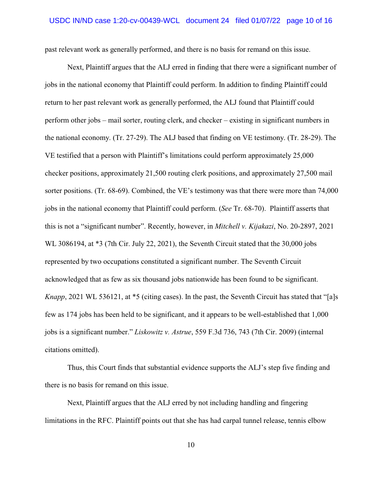past relevant work as generally performed, and there is no basis for remand on this issue.

Next, Plaintiff argues that the ALJ erred in finding that there were a significant number of jobs in the national economy that Plaintiff could perform. In addition to finding Plaintiff could return to her past relevant work as generally performed, the ALJ found that Plaintiff could perform other jobs – mail sorter, routing clerk, and checker – existing in significant numbers in the national economy. (Tr. 27-29). The ALJ based that finding on VE testimony. (Tr. 28-29). The VE testified that a person with Plaintiff's limitations could perform approximately 25,000 checker positions, approximately 21,500 routing clerk positions, and approximately 27,500 mail sorter positions. (Tr. 68-69). Combined, the VE's testimony was that there were more than 74,000 jobs in the national economy that Plaintiff could perform. (*See* Tr. 68-70). Plaintiff asserts that this is not a "significant number". Recently, however, in *Mitchell v. Kijakazi*, No. 20-2897, 2021 WL 3086194, at \*3 (7th Cir. July 22, 2021), the Seventh Circuit stated that the 30,000 jobs represented by two occupations constituted a significant number. The Seventh Circuit acknowledged that as few as six thousand jobs nationwide has been found to be significant. *Knapp*, 2021 WL 536121, at \*5 (citing cases). In the past, the Seventh Circuit has stated that "[a]s few as 174 jobs has been held to be significant, and it appears to be well-established that 1,000 jobs is a significant number." *Liskowitz v. Astrue*, 559 F.3d 736, 743 (7th Cir. 2009) (internal citations omitted).

Thus, this Court finds that substantial evidence supports the ALJ's step five finding and there is no basis for remand on this issue.

Next, Plaintiff argues that the ALJ erred by not including handling and fingering limitations in the RFC. Plaintiff points out that she has had carpal tunnel release, tennis elbow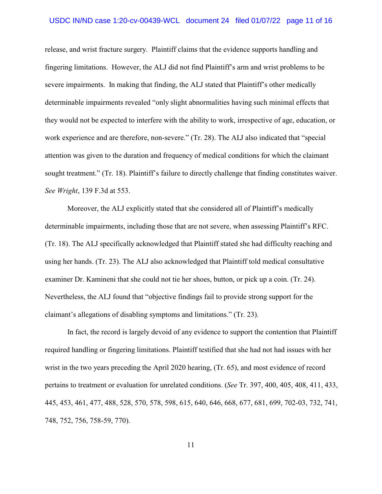#### USDC IN/ND case 1:20-cv-00439-WCL document 24 filed 01/07/22 page 11 of 16

release, and wrist fracture surgery. Plaintiff claims that the evidence supports handling and fingering limitations. However, the ALJ did not find Plaintiff's arm and wrist problems to be severe impairments. In making that finding, the ALJ stated that Plaintiff's other medically determinable impairments revealed "only slight abnormalities having such minimal effects that they would not be expected to interfere with the ability to work, irrespective of age, education, or work experience and are therefore, non-severe." (Tr. 28). The ALJ also indicated that "special attention was given to the duration and frequency of medical conditions for which the claimant sought treatment." (Tr. 18). Plaintiff's failure to directly challenge that finding constitutes waiver. *See Wright*, 139 F.3d at 553.

Moreover, the ALJ explicitly stated that she considered all of Plaintiff's medically determinable impairments, including those that are not severe, when assessing Plaintiff's RFC. (Tr. 18). The ALJ specifically acknowledged that Plaintiff stated she had difficulty reaching and using her hands. (Tr. 23). The ALJ also acknowledged that Plaintiff told medical consultative examiner Dr. Kamineni that she could not tie her shoes, button, or pick up a coin. (Tr. 24). Nevertheless, the ALJ found that "objective findings fail to provide strong support for the claimant's allegations of disabling symptoms and limitations." (Tr. 23).

In fact, the record is largely devoid of any evidence to support the contention that Plaintiff required handling or fingering limitations. Plaintiff testified that she had not had issues with her wrist in the two years preceding the April 2020 hearing, (Tr. 65), and most evidence of record pertains to treatment or evaluation for unrelated conditions. (*See* Tr. 397, 400, 405, 408, 411, 433, 445, 453, 461, 477, 488, 528, 570, 578, 598, 615, 640, 646, 668, 677, 681, 699, 702-03, 732, 741, 748, 752, 756, 758-59, 770).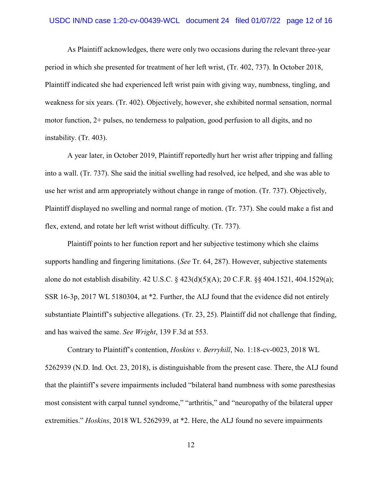As Plaintiff acknowledges, there were only two occasions during the relevant three-year period in which she presented for treatment of her left wrist, (Tr. 402, 737). In October 2018, Plaintiff indicated she had experienced left wrist pain with giving way, numbness, tingling, and weakness for six years. (Tr. 402). Objectively, however, she exhibited normal sensation, normal motor function, 2+ pulses, no tenderness to palpation, good perfusion to all digits, and no instability. (Tr. 403).

A year later, in October 2019, Plaintiff reportedly hurt her wrist after tripping and falling into a wall. (Tr. 737). She said the initial swelling had resolved, ice helped, and she was able to use her wrist and arm appropriately without change in range of motion. (Tr. 737). Objectively, Plaintiff displayed no swelling and normal range of motion. (Tr. 737). She could make a fist and flex, extend, and rotate her left wrist without difficulty. (Tr. 737).

Plaintiff points to her function report and her subjective testimony which she claims supports handling and fingering limitations. (*See* Tr. 64, 287). However, subjective statements alone do not establish disability. 42 U.S.C. § 423(d)(5)(A); 20 C.F.R. §§ 404.1521, 404.1529(a); SSR 16-3p, 2017 WL 5180304, at \*2. Further, the ALJ found that the evidence did not entirely substantiate Plaintiff's subjective allegations. (Tr. 23, 25). Plaintiff did not challenge that finding, and has waived the same. *See Wright*, 139 F.3d at 553.

Contrary to Plaintiff's contention, *Hoskins v. Berryhill*, No. 1:18-cv-0023, 2018 WL 5262939 (N.D. Ind. Oct. 23, 2018), is distinguishable from the present case. There, the ALJ found that the plaintiff's severe impairments included "bilateral hand numbness with some paresthesias most consistent with carpal tunnel syndrome," "arthritis," and "neuropathy of the bilateral upper extremities." *Hoskins*, 2018 WL 5262939, at \*2. Here, the ALJ found no severe impairments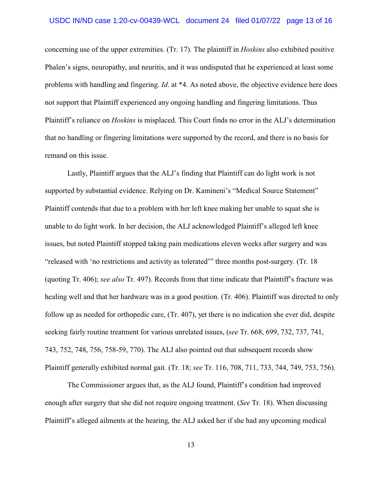concerning use of the upper extremities. (Tr. 17). The plaintiff in *Hoskins* also exhibited positive Phalen's signs, neuropathy, and neuritis, and it was undisputed that he experienced at least some problems with handling and fingering. *Id*. at \*4. As noted above, the objective evidence here does not support that Plaintiff experienced any ongoing handling and fingering limitations. Thus Plaintiff's reliance on *Hoskins* is misplaced. This Court finds no error in the ALJ's determination that no handling or fingering limitations were supported by the record, and there is no basis for remand on this issue.

Lastly, Plaintiff argues that the ALJ's finding that Plaintiff can do light work is not supported by substantial evidence. Relying on Dr. Kamineni's "Medical Source Statement" Plaintiff contends that due to a problem with her left knee making her unable to squat she is unable to do light work. In her decision, the ALJ acknowledged Plaintiff's alleged left knee issues, but noted Plaintiff stopped taking pain medications eleven weeks after surgery and was "released with 'no restrictions and activity as tolerated'" three months post-surgery. (Tr. 18 (quoting Tr. 406); *see also* Tr. 497). Records from that time indicate that Plaintiff's fracture was healing well and that her hardware was in a good position. (Tr. 406). Plaintiff was directed to only follow up as needed for orthopedic care, (Tr. 407), yet there is no indication she ever did, despite seeking fairly routine treatment for various unrelated issues, (*see* Tr. 668, 699, 732, 737, 741, 743, 752, 748, 756, 758-59, 770). The ALJ also pointed out that subsequent records show Plaintiff generally exhibited normal gait. (Tr. 18; *see* Tr. 116, 708, 711, 733, 744, 749, 753, 756).

The Commissioner argues that, as the ALJ found, Plaintiff's condition had improved enough after surgery that she did not require ongoing treatment. (*See* Tr. 18). When discussing Plaintiff's alleged ailments at the hearing, the ALJ asked her if she had any upcoming medical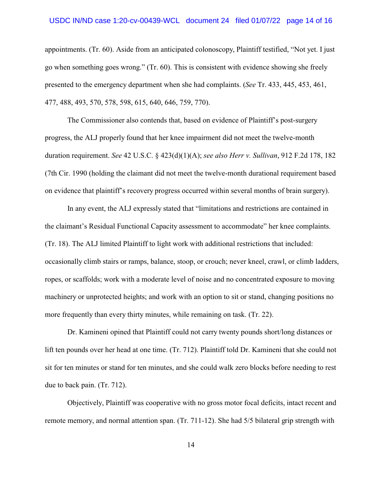#### USDC IN/ND case 1:20-cv-00439-WCL document 24 filed 01/07/22 page 14 of 16

appointments. (Tr. 60). Aside from an anticipated colonoscopy, Plaintiff testified, "Not yet. I just go when something goes wrong." (Tr. 60). This is consistent with evidence showing she freely presented to the emergency department when she had complaints. (*See* Tr. 433, 445, 453, 461, 477, 488, 493, 570, 578, 598, 615, 640, 646, 759, 770).

The Commissioner also contends that, based on evidence of Plaintiff's post-surgery progress, the ALJ properly found that her knee impairment did not meet the twelve-month duration requirement. *See* 42 U.S.C. § 423(d)(1)(A); *see also Herr v. Sullivan*, 912 F.2d 178, 182 (7th Cir. 1990 (holding the claimant did not meet the twelve-month durational requirement based on evidence that plaintiff's recovery progress occurred within several months of brain surgery).

In any event, the ALJ expressly stated that "limitations and restrictions are contained in the claimant's Residual Functional Capacity assessment to accommodate" her knee complaints. (Tr. 18). The ALJ limited Plaintiff to light work with additional restrictions that included: occasionally climb stairs or ramps, balance, stoop, or crouch; never kneel, crawl, or climb ladders, ropes, or scaffolds; work with a moderate level of noise and no concentrated exposure to moving machinery or unprotected heights; and work with an option to sit or stand, changing positions no more frequently than every thirty minutes, while remaining on task. (Tr. 22).

Dr. Kamineni opined that Plaintiff could not carry twenty pounds short/long distances or lift ten pounds over her head at one time. (Tr. 712). Plaintiff told Dr. Kamineni that she could not sit for ten minutes or stand for ten minutes, and she could walk zero blocks before needing to rest due to back pain. (Tr. 712).

Objectively, Plaintiff was cooperative with no gross motor focal deficits, intact recent and remote memory, and normal attention span. (Tr. 711-12). She had 5/5 bilateral grip strength with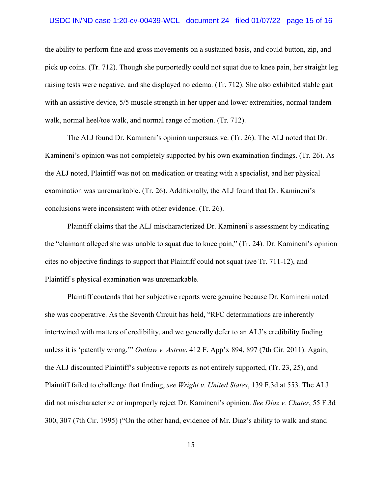#### USDC IN/ND case 1:20-cv-00439-WCL document 24 filed 01/07/22 page 15 of 16

the ability to perform fine and gross movements on a sustained basis, and could button, zip, and pick up coins. (Tr. 712). Though she purportedly could not squat due to knee pain, her straight leg raising tests were negative, and she displayed no edema. (Tr. 712). She also exhibited stable gait with an assistive device, 5/5 muscle strength in her upper and lower extremities, normal tandem walk, normal heel/toe walk, and normal range of motion. (Tr. 712).

The ALJ found Dr. Kamineni's opinion unpersuasive. (Tr. 26). The ALJ noted that Dr. Kamineni's opinion was not completely supported by his own examination findings. (Tr. 26). As the ALJ noted, Plaintiff was not on medication or treating with a specialist, and her physical examination was unremarkable. (Tr. 26). Additionally, the ALJ found that Dr. Kamineni's conclusions were inconsistent with other evidence. (Tr. 26).

Plaintiff claims that the ALJ mischaracterized Dr. Kamineni's assessment by indicating the "claimant alleged she was unable to squat due to knee pain," (Tr. 24). Dr. Kamineni's opinion cites no objective findings to support that Plaintiff could not squat (*se*e Tr. 711-12), and Plaintiff's physical examination was unremarkable.

Plaintiff contends that her subjective reports were genuine because Dr. Kamineni noted she was cooperative. As the Seventh Circuit has held, "RFC determinations are inherently intertwined with matters of credibility, and we generally defer to an ALJ's credibility finding unless it is 'patently wrong.'" *Outlaw v. Astrue*, 412 F. App'x 894, 897 (7th Cir. 2011). Again, the ALJ discounted Plaintiff's subjective reports as not entirely supported, (Tr. 23, 25), and Plaintiff failed to challenge that finding, *see Wright v. United States*, 139 F.3d at 553. The ALJ did not mischaracterize or improperly reject Dr. Kamineni's opinion. *See Diaz v. Chater*, 55 F.3d 300, 307 (7th Cir. 1995) ("On the other hand, evidence of Mr. Diaz's ability to walk and stand